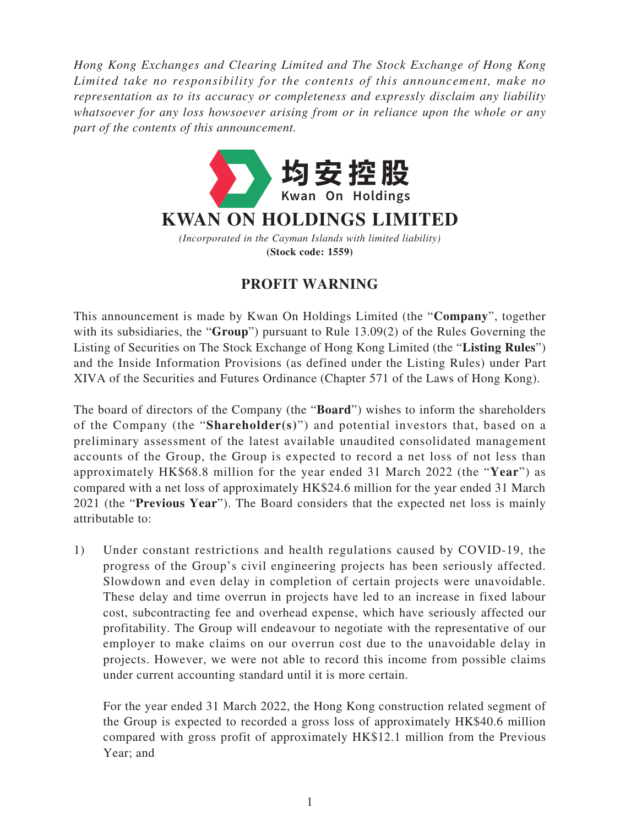*Hong Kong Exchanges and Clearing Limited and The Stock Exchange of Hong Kong Limited take no responsibility for the contents of this announcement, make no representation as to its accuracy or completeness and expressly disclaim any liability whatsoever for any loss howsoever arising from or in reliance upon the whole or any part of the contents of this announcement.*



## **PROFIT WARNING**

This announcement is made by Kwan On Holdings Limited (the "**Company**", together with its subsidiaries, the "**Group**") pursuant to Rule 13.09(2) of the Rules Governing the Listing of Securities on The Stock Exchange of Hong Kong Limited (the "**Listing Rules**") and the Inside Information Provisions (as defined under the Listing Rules) under Part XIVA of the Securities and Futures Ordinance (Chapter 571 of the Laws of Hong Kong).

The board of directors of the Company (the "**Board**") wishes to inform the shareholders of the Company (the "**Shareholder(s)**") and potential investors that, based on a preliminary assessment of the latest available unaudited consolidated management accounts of the Group, the Group is expected to record a net loss of not less than approximately HK\$68.8 million for the year ended 31 March 2022 (the "**Year**") as compared with a net loss of approximately HK\$24.6 million for the year ended 31 March 2021 (the "**Previous Year**"). The Board considers that the expected net loss is mainly attributable to:

1) Under constant restrictions and health regulations caused by COVID-19, the progress of the Group's civil engineering projects has been seriously affected. Slowdown and even delay in completion of certain projects were unavoidable. These delay and time overrun in projects have led to an increase in fixed labour cost, subcontracting fee and overhead expense, which have seriously affected our profitability. The Group will endeavour to negotiate with the representative of our employer to make claims on our overrun cost due to the unavoidable delay in projects. However, we were not able to record this income from possible claims under current accounting standard until it is more certain.

For the year ended 31 March 2022, the Hong Kong construction related segment of the Group is expected to recorded a gross loss of approximately HK\$40.6 million compared with gross profit of approximately HK\$12.1 million from the Previous Year; and